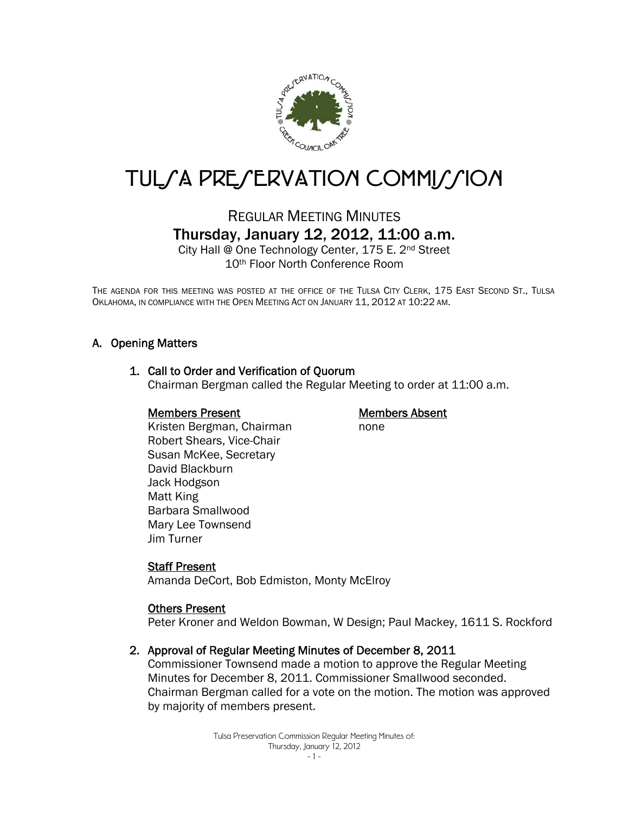

# TUL/A PRE/ERVATION COMMI//ION

### REGULAR MEETING MINUTES Thursday, January 12, 2012, 11:00 a.m.

City Hall @ One Technology Center, 175 E. 2nd Street 10th Floor North Conference Room

THE AGENDA FOR THIS MEETING WAS POSTED AT THE OFFICE OF THE TULSA CITY CLERK, 175 EAST SECOND ST., TULSA OKLAHOMA, IN COMPLIANCE WITH THE OPEN MEETING ACT ON JANUARY 11, 2012 AT 10:22 AM.

#### A. Opening Matters

#### 1. Call to Order and Verification of Quorum

Chairman Bergman called the Regular Meeting to order at 11:00 a.m.

#### Members Present

#### Members Absent

none

 Kristen Bergman, Chairman Robert Shears, Vice-Chair Susan McKee, Secretary David Blackburn Jack Hodgson Matt King Barbara Smallwood Mary Lee Townsend Jim Turner

#### Staff Present

Amanda DeCort, Bob Edmiston, Monty McElroy

#### **Others Present**

Peter Kroner and Weldon Bowman, W Design; Paul Mackey, 1611 S. Rockford

#### 2. Approval of Regular Meeting Minutes of December 8, 2011

Commissioner Townsend made a motion to approve the Regular Meeting Minutes for December 8, 2011. Commissioner Smallwood seconded. Chairman Bergman called for a vote on the motion. The motion was approved by majority of members present.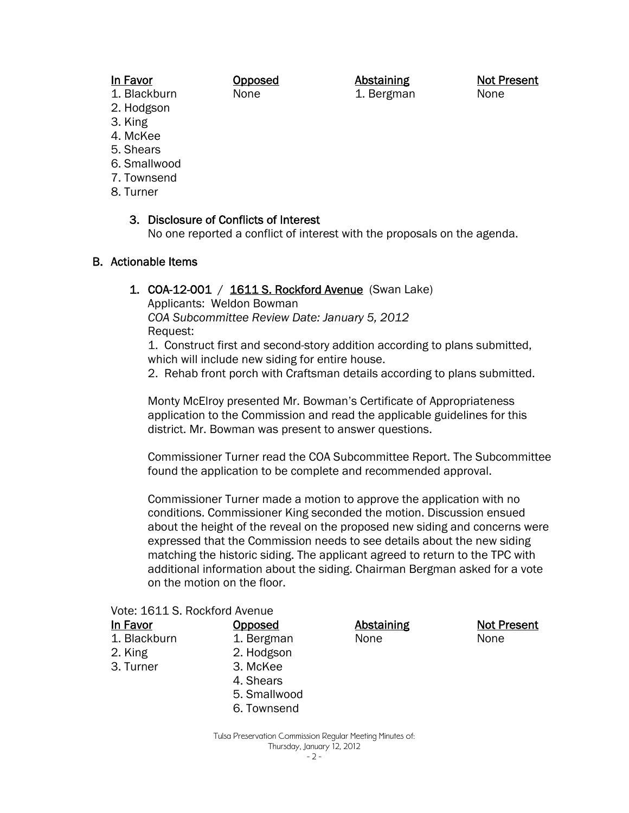#### In Favor

#### Opposed None

Abstaining 1. Bergman Not Present None

- 1. Blackburn 2. Hodgson
- 3. King
- 4. McKee
- 5. Shears
- 6. Smallwood
- 7. Townsend
- 8. Turner

#### 3. Disclosure of Conflicts of Interest

No one reported a conflict of interest with the proposals on the agenda.

#### B. Actionable Items

#### 1. COA-12-001 / 1611 S. Rockford Avenue (Swan Lake)

Applicants: Weldon Bowman *COA Subcommittee Review Date: January 5, 2012*  Request:

1. Construct first and second-story addition according to plans submitted, which will include new siding for entire house.

2. Rehab front porch with Craftsman details according to plans submitted.

Monty McElroy presented Mr. Bowman's Certificate of Appropriateness application to the Commission and read the applicable guidelines for this district. Mr. Bowman was present to answer questions.

Commissioner Turner read the COA Subcommittee Report. The Subcommittee found the application to be complete and recommended approval.

Commissioner Turner made a motion to approve the application with no conditions. Commissioner King seconded the motion. Discussion ensued about the height of the reveal on the proposed new siding and concerns were expressed that the Commission needs to see details about the new siding matching the historic siding. The applicant agreed to return to the TPC with additional information about the siding. Chairman Bergman asked for a vote on the motion on the floor.

| Vote: 1611 S. Rockford Avenue |              |            |                    |
|-------------------------------|--------------|------------|--------------------|
| In Favor                      | Opposed      | Abstaining | <b>Not Present</b> |
| 1. Blackburn                  | 1. Bergman   | None       | None               |
| 2. King                       | 2. Hodgson   |            |                    |
| 3. Turner                     | 3. McKee     |            |                    |
|                               | 4. Shears    |            |                    |
|                               | 5. Smallwood |            |                    |
|                               | 6. Townsend  |            |                    |
|                               |              |            |                    |

Tulsa Preservation Commission Regular Meeting Minutes of: Thursday, January 12, 2012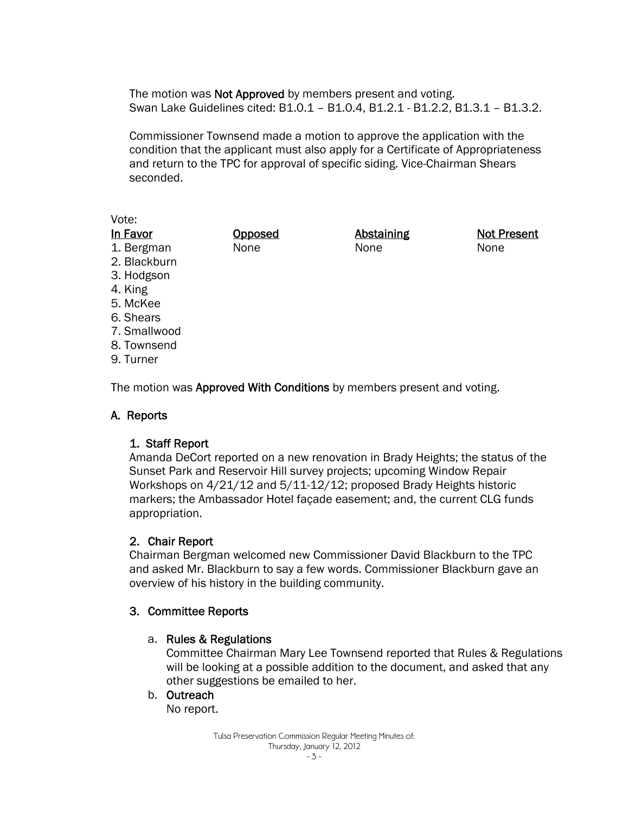The motion was **Not Approved** by members present and voting. Swan Lake Guidelines cited: B1.0.1 – B1.0.4, B1.2.1 - B1.2.2, B1.3.1 – B1.3.2.

Commissioner Townsend made a motion to approve the application with the condition that the applicant must also apply for a Certificate of Appropriateness and return to the TPC for approval of specific siding. Vice-Chairman Shears seconded.

#### Vote:

| In Favor     | Opposed | Abstaining | <b>Not Present</b> |
|--------------|---------|------------|--------------------|
| 1. Bergman   | None    | None       | None               |
| 2. Blackburn |         |            |                    |
| 3. Hodgson   |         |            |                    |
| 4. King      |         |            |                    |
| 5. McKee     |         |            |                    |

7. Smallwood

6. Shears

- 8. Townsend
- 9. Turner

The motion was **Approved With Conditions** by members present and voting.

#### A. Reports

#### 1. Staff Report

Amanda DeCort reported on a new renovation in Brady Heights; the status of the Sunset Park and Reservoir Hill survey projects; upcoming Window Repair Workshops on 4/21/12 and 5/11-12/12; proposed Brady Heights historic markers; the Ambassador Hotel façade easement; and, the current CLG funds appropriation.

#### 2. Chair Report

Chairman Bergman welcomed new Commissioner David Blackburn to the TPC and asked Mr. Blackburn to say a few words. Commissioner Blackburn gave an overview of his history in the building community.

#### 3. Committee Reports

#### a. Rules & Regulations

Committee Chairman Mary Lee Townsend reported that Rules & Regulations will be looking at a possible addition to the document, and asked that any other suggestions be emailed to her.

#### b. Outreach

No report.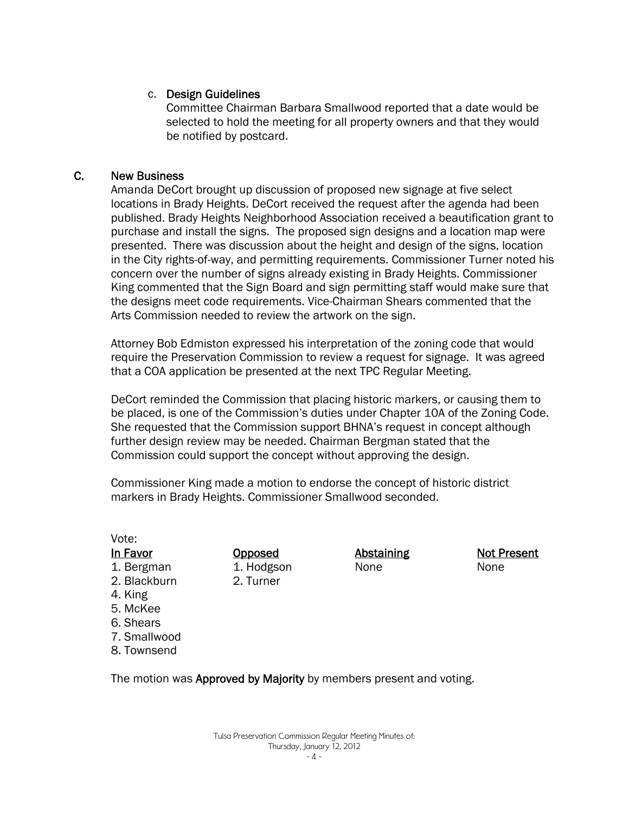#### c. Design Guidelines

Committee Chairman Barbara Smallwood reported that a date would be selected to hold the meeting for all property owners and that they would be notified by postcard.

#### C. New Business

Amanda DeCort brought up discussion of proposed new signage at five select locations in Brady Heights. DeCort received the request after the agenda had been published. Brady Heights Neighborhood Association received a beautification grant to purchase and install the signs. The proposed sign designs and a location map were presented. There was discussion about the height and design of the signs, location in the City rights-of-way, and permitting requirements. Commissioner Turner noted his concern over the number of signs already existing in Brady Heights. Commissioner King commented that the Sign Board and sign permitting staff would make sure that the designs meet code requirements. Vice-Chairman Shears commented that the Arts Commission needed to review the artwork on the sign.

Attorney Bob Edmiston expressed his interpretation of the zoning code that would require the Preservation Commission to review a request for signage. It was agreed that a COA application be presented at the next TPC Regular Meeting.

DeCort reminded the Commission that placing historic markers, or causing them to be placed, is one of the Commission's duties under Chapter 10A of the Zoning Code. She requested that the Commission support BHNA's request in concept although further design review may be needed. Chairman Bergman stated that the Commission could support the concept without approving the design.

Commissioner King made a motion to endorse the concept of historic district markers in Brady Heights. Commissioner Smallwood seconded.

| Vote:        |          |
|--------------|----------|
| In Favor     | <u>(</u> |
| 1. Bergman   | 1        |
| 2. Blackburn | ٟ        |
| 4. King      |          |
| 5. McKee     |          |
| 6. Shears    |          |
| 7. Smallwood |          |
| 8. Townsend  |          |

Opposed 1. Hodgson 2. Turner

Abstaining None

Not Present None

The motion was **Approved by Majority** by members present and voting.